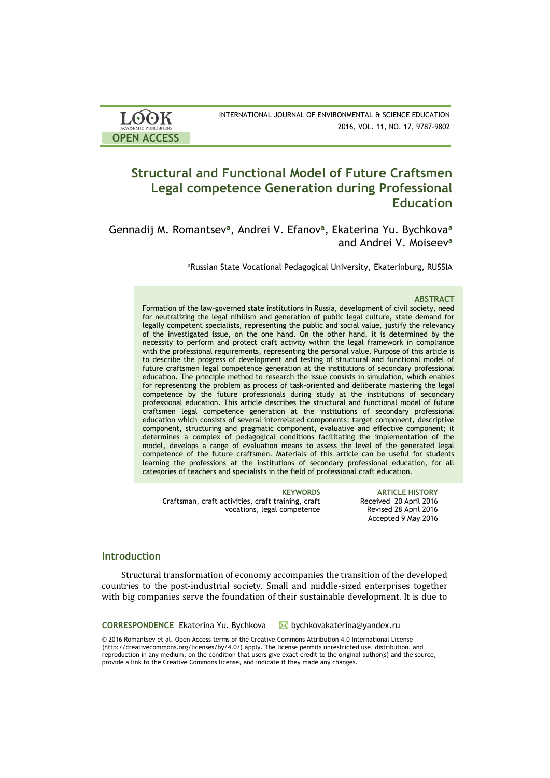| <b>LOOK</b>         | INTERNATIONAL JOURNAL OF ENVIRONMENTAL & SCIENCE EDUCATION |
|---------------------|------------------------------------------------------------|
| ACADEMIC PUBLISHERS | 2016, VOL. 11, NO. 17, 9787-9802                           |
| <b>OPEN ACCESS</b>  |                                                            |

# **Structural and Functional Model of Future Craftsmen Legal competence Generation during Professional Education**

Gennadij M. Romantsev**<sup>a</sup>** , Andrei V. Efanov**<sup>a</sup>** , Ekaterina Yu. Bychkova**<sup>a</sup>** and Andrei V. Moiseev**<sup>a</sup>**

aRussian State Vocational Pedagogical University, Ekaterinburg, RUSSIA

### **ABSTRACT**

Formation of the law-governed state institutions in Russia, development of civil society, need for neutralizing the legal nihilism and generation of public legal culture, state demand for legally competent specialists, representing the public and social value, justify the relevancy of the investigated issue, on the one hand. On the other hand, it is determined by the necessity to perform and protect craft activity within the legal framework in compliance with the professional requirements, representing the personal value. Purpose of this article is to describe the progress of development and testing of structural and functional model of future craftsmen legal competence generation at the institutions of secondary professional education. The principle method to research the issue consists in simulation, which enables for representing the problem as process of task-oriented and deliberate mastering the legal competence by the future professionals during study at the institutions of secondary professional education. This article describes the structural and functional model of future craftsmen legal competence generation at the institutions of secondary professional education which consists of several interrelated components: target component, descriptive component, structuring and pragmatic component, evaluative and effective component; it determines a complex of pedagogical conditions facilitating the implementation of the model, develops a range of evaluation means to assess the level of the generated legal competence of the future craftsmen. Materials of this article can be useful for students learning the professions at the institutions of secondary professional education, for all categories of teachers and specialists in the field of professional craft education.

Craftsman, craft activities, craft training, craft vocations, legal competence

**KEYWORDS ARTICLE HISTORY** Received 20 April 2016 Revised 28 April 2016 Accepted 9 May 2016

## **Introduction**

Structural transformation of economy accompanies the transition of the developed countries to the post-industrial society. Small and middle-sized enterprises together with big companies serve the foundation of their sustainable development. It is due to

**CORRESPONDENCE** Ekaterina Yu. Bychkova Mubychkovakaterina@yandex.ru

© 2016 Romantsev et al. Open Access terms of the Creative Commons Attribution 4.0 International License (http://creativecommons.org/licenses/by/4.0/) apply. The license permits unrestricted use, distribution, and reproduction in any medium, on the condition that users give exact credit to the original author(s) and the source, provide a link to the Creative Commons license, and indicate if they made any changes.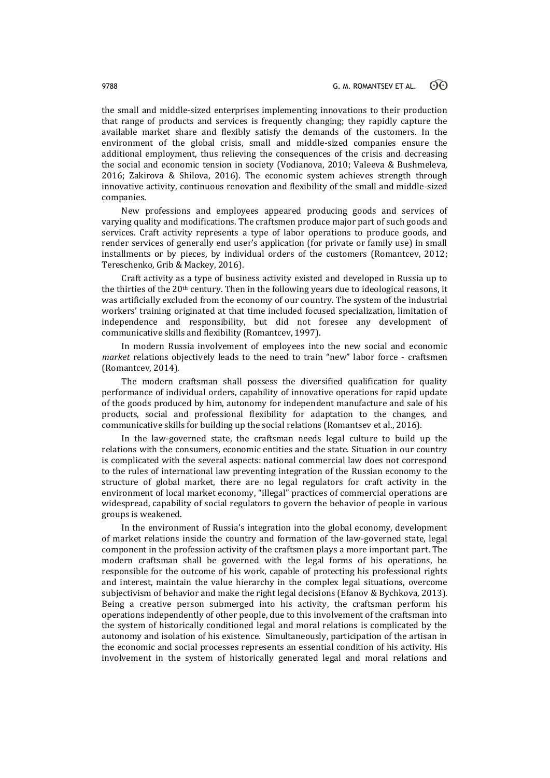the small and middle-sized enterprises implementing innovations to their production that range of products and services is frequently changing; they rapidly capture the available market share and flexibly satisfy the demands of the customers. In the environment of the global crisis, small and middle-sized companies ensure the additional employment, thus relieving the consequences of the crisis and decreasing the social and economic tension in society (Vodianova, 2010; Valeeva & Bushmeleva, 2016; Zakirova & Shilova, 2016). The economic system achieves strength through innovative activity, continuous renovation and flexibility of the small and middle-sized companies.

New professions and employees appeared producing goods and services of varying quality and modifications. The craftsmen produce major part of such goods and services. Craft activity represents a type of labor operations to produce goods, and render services of generally end user's application (for private or family use) in small installments or by pieces, by individual orders of the customers (Romantcev, 2012; Tereschenko, Grib & Mackey, 2016).

Craft activity as a type of business activity existed and developed in Russia up to the thirties of the  $20<sup>th</sup>$  century. Then in the following years due to ideological reasons, it was artificially excluded from the economy of our country. The system of the industrial workers' training originated at that time included focused specialization, limitation of independence and responsibility, but did not foresee any development of communicative skills and flexibility (Romantcev, 1997).

In modern Russia involvement of employees into the new social and economic *market* relations objectively leads to the need to train "new" labor force - craftsmen (Romantcev, 2014).

The modern craftsman shall possess the diversified qualification for quality performance of individual orders, capability of innovative operations for rapid update of the goods produced by him, autonomy for independent manufacture and sale of his products, social and professional flexibility for adaptation to the changes, and communicative skills for building up the social relations (Romantsev et al., 2016).

In the law-governed state, the craftsman needs legal culture to build up the relations with the consumers, economic entities and the state. Situation in our country is complicated with the several aspects: national commercial law does not correspond to the rules of international law preventing integration of the Russian economy to the structure of global market, there are no legal regulators for craft activity in the environment of local market economy, "illegal" practices of commercial operations are widespread, capability of social regulators to govern the behavior of people in various groups is weakened.

In the environment of Russia's integration into the global economy, development of market relations inside the country and formation of the law-governed state, legal component in the profession activity of the craftsmen plays a more important part. The modern craftsman shall be governed with the legal forms of his operations, be responsible for the outcome of his work, capable of protecting his professional rights and interest, maintain the value hierarchy in the complex legal situations, overcome subjectivism of behavior and make the right legal decisions (Efanov & Bychkova, 2013). Being a creative person submerged into his activity, the craftsman perform his operations independently of other people, due to this involvement of the craftsman into the system of historically conditioned legal and moral relations is complicated by the autonomy and isolation of his existence. Simultaneously, participation of the artisan in the economic and social processes represents an essential condition of his activity. His involvement in the system of historically generated legal and moral relations and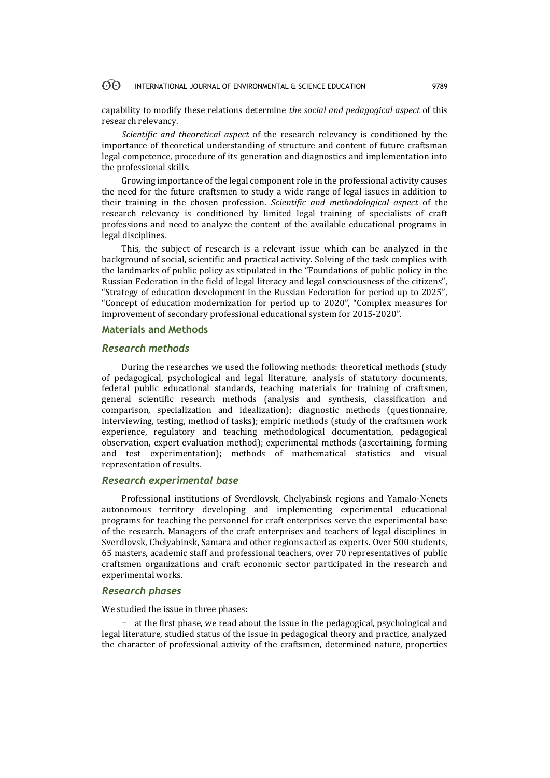capability to modify these relations determine *the social and pedagogical aspect* of this research relevancy.

*Scientific and theoretical aspect* of the research relevancy is conditioned by the importance of theoretical understanding of structure and content of future craftsman legal competence, procedure of its generation and diagnostics and implementation into the professional skills.

Growing importance of the legal component role in the professional activity causes the need for the future craftsmen to study a wide range of legal issues in addition to their training in the chosen profession. *Scientific and methodological aspect* of the research relevancy is conditioned by limited legal training of specialists of craft professions and need to analyze the content of the available educational programs in legal disciplines.

This, the subject of research is a relevant issue which can be analyzed in the background of social, scientific and practical activity. Solving of the task complies with the landmarks of public policy as stipulated in the "Foundations of public policy in the Russian Federation in the field of legal literacy and legal consciousness of the citizens", "Strategy of education development in the Russian Federation for period up to 2025", "Concept of education modernization for period up to 2020", "Complex measures for improvement of secondary professional educational system for 2015-2020".

## **Materials and Methods**

## *Research methods*

During the researches we used the following methods: theoretical methods (study of pedagogical, psychological and legal literature, analysis of statutory documents, federal public educational standards, teaching materials for training of craftsmen, general scientific research methods (analysis and synthesis, classification and comparison, specialization and idealization); diagnostic methods (questionnaire, interviewing, testing, method of tasks); empiric methods (study of the craftsmen work experience, regulatory and teaching methodological documentation, pedagogical observation, expert evaluation method); experimental methods (ascertaining, forming and test experimentation); methods of mathematical statistics and visual representation of results.

## *Research experimental base*

Professional institutions of Sverdlovsk, Chelyabinsk regions and Yamalo-Nenets autonomous territory developing and implementing experimental educational programs for teaching the personnel for craft enterprises serve the experimental base of the research. Managers of the craft enterprises and teachers of legal disciplines in Sverdlovsk, Chelyabinsk, Samara and other regions acted as experts. Over 500 students, 65 masters, academic staff and professional teachers, over 70 representatives of public craftsmen organizations and craft economic sector participated in the research and experimental works.

## *Research phases*

We studied the issue in three phases:

− at the first phase, we read about the issue in the pedagogical, psychological and legal literature, studied status of the issue in pedagogical theory and practice, analyzed the character of professional activity of the craftsmen, determined nature, properties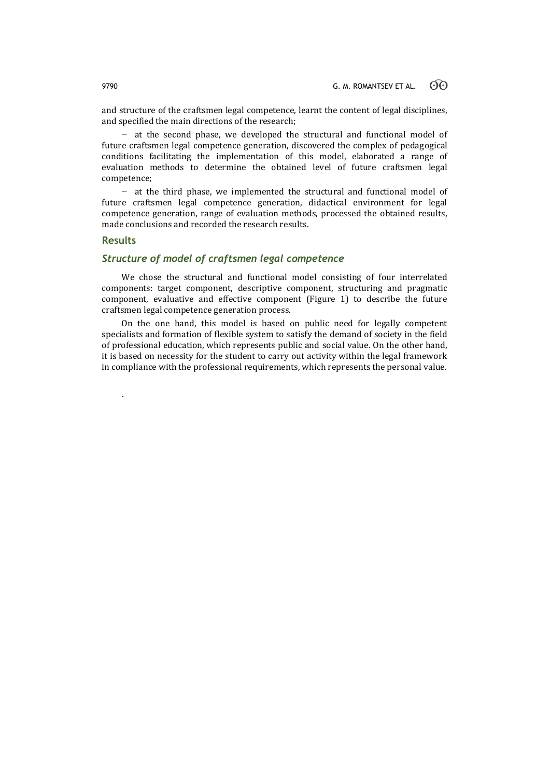and structure of the craftsmen legal competence, learnt the content of legal disciplines, and specified the main directions of the research;

at the second phase, we developed the structural and functional model of future craftsmen legal competence generation, discovered the complex of pedagogical conditions facilitating the implementation of this model, elaborated a range of evaluation methods to determine the obtained level of future craftsmen legal competence;

− at the third phase, we implemented the structural and functional model of future craftsmen legal competence generation, didactical environment for legal competence generation, range of evaluation methods, processed the obtained results, made conclusions and recorded the research results.

## **Results**

.

## *Structure of model of craftsmen legal competence*

We chose the structural and functional model consisting of four interrelated components: target component, descriptive component, structuring and pragmatic component, evaluative and effective component (Figure 1) to describe the future craftsmen legal competence generation process.

On the one hand, this model is based on public need for legally competent specialists and formation of flexible system to satisfy the demand of society in the field of professional education, which represents public and social value. On the other hand, it is based on necessity for the student to carry out activity within the legal framework in compliance with the professional requirements, which represents the personal value.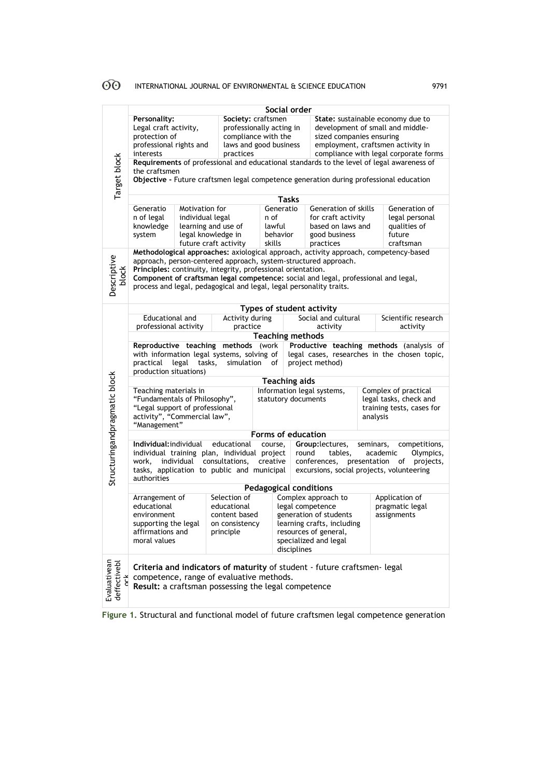|                                   | Social order                                                                                                                                                                                                                                                                                                                                                                         |                                                               |                                                                                                                                                                             |                                                                                                 |                                                                                                                                                                  |                                                          |                                                                                                                                                                                 |                                          |                                                                             |  |  |
|-----------------------------------|--------------------------------------------------------------------------------------------------------------------------------------------------------------------------------------------------------------------------------------------------------------------------------------------------------------------------------------------------------------------------------------|---------------------------------------------------------------|-----------------------------------------------------------------------------------------------------------------------------------------------------------------------------|-------------------------------------------------------------------------------------------------|------------------------------------------------------------------------------------------------------------------------------------------------------------------|----------------------------------------------------------|---------------------------------------------------------------------------------------------------------------------------------------------------------------------------------|------------------------------------------|-----------------------------------------------------------------------------|--|--|
| Target block                      | Personality:<br>Legal craft activity,<br>protection of<br>professional rights and<br>interests                                                                                                                                                                                                                                                                                       |                                                               | practices                                                                                                                                                                   | Society: craftsmen<br>professionally acting in<br>compliance with the<br>laws and good business |                                                                                                                                                                  |                                                          | State: sustainable economy due to<br>development of small and middle-<br>sized companies ensuring<br>employment, craftsmen activity in<br>compliance with legal corporate forms |                                          |                                                                             |  |  |
|                                   |                                                                                                                                                                                                                                                                                                                                                                                      |                                                               |                                                                                                                                                                             |                                                                                                 |                                                                                                                                                                  |                                                          |                                                                                                                                                                                 |                                          |                                                                             |  |  |
|                                   | Requirements of professional and educational standards to the level of legal awareness of<br>the craftsmen<br>Objective - Future craftsmen legal competence generation during professional education                                                                                                                                                                                 |                                                               |                                                                                                                                                                             |                                                                                                 |                                                                                                                                                                  |                                                          |                                                                                                                                                                                 |                                          |                                                                             |  |  |
|                                   | <b>Tasks</b>                                                                                                                                                                                                                                                                                                                                                                         |                                                               |                                                                                                                                                                             |                                                                                                 |                                                                                                                                                                  |                                                          |                                                                                                                                                                                 |                                          |                                                                             |  |  |
|                                   | Generatio<br>Motivation for<br>Generatio<br>Generation of skills<br>Generation of                                                                                                                                                                                                                                                                                                    |                                                               |                                                                                                                                                                             |                                                                                                 |                                                                                                                                                                  |                                                          |                                                                                                                                                                                 |                                          |                                                                             |  |  |
|                                   | n of legal<br>knowledge<br>system                                                                                                                                                                                                                                                                                                                                                    | individual legal<br>learning and use of<br>legal knowledge in | n of<br>lawful<br>behavior                                                                                                                                                  |                                                                                                 |                                                                                                                                                                  | for craft activity<br>based on laws and<br>good business |                                                                                                                                                                                 | legal personal<br>qualities of<br>future |                                                                             |  |  |
|                                   |                                                                                                                                                                                                                                                                                                                                                                                      |                                                               | future craft activity                                                                                                                                                       | skills                                                                                          |                                                                                                                                                                  |                                                          | practices                                                                                                                                                                       |                                          | craftsman                                                                   |  |  |
| Descriptive<br>block              | Methodological approaches: axiological approach, activity approach, competency-based<br>approach, person-centered approach, system-structured approach.<br>Principles: continuity, integrity, professional orientation.<br>Component of craftsman legal competence: social and legal, professional and legal,<br>process and legal, pedagogical and legal, legal personality traits. |                                                               |                                                                                                                                                                             |                                                                                                 |                                                                                                                                                                  |                                                          |                                                                                                                                                                                 |                                          |                                                                             |  |  |
|                                   |                                                                                                                                                                                                                                                                                                                                                                                      |                                                               |                                                                                                                                                                             |                                                                                                 | Types of student activity                                                                                                                                        |                                                          |                                                                                                                                                                                 |                                          |                                                                             |  |  |
|                                   | Educational and                                                                                                                                                                                                                                                                                                                                                                      |                                                               | Activity during                                                                                                                                                             |                                                                                                 |                                                                                                                                                                  | Social and cultural                                      |                                                                                                                                                                                 |                                          | Scientific research                                                         |  |  |
|                                   | professional activity                                                                                                                                                                                                                                                                                                                                                                |                                                               | practice                                                                                                                                                                    |                                                                                                 |                                                                                                                                                                  | activity                                                 |                                                                                                                                                                                 |                                          | activity                                                                    |  |  |
|                                   | <b>Teaching methods</b>                                                                                                                                                                                                                                                                                                                                                              |                                                               |                                                                                                                                                                             |                                                                                                 |                                                                                                                                                                  |                                                          |                                                                                                                                                                                 |                                          |                                                                             |  |  |
|                                   | Productive teaching methods (analysis of<br>Reproductive teaching<br>methods (work<br>with information legal systems, solving of<br>legal cases, researches in the chosen topic,<br>legal<br>tasks,<br>simulation<br>project method)<br>practical<br>οf<br>production situations)                                                                                                    |                                                               |                                                                                                                                                                             |                                                                                                 |                                                                                                                                                                  |                                                          |                                                                                                                                                                                 |                                          |                                                                             |  |  |
|                                   | <b>Teaching aids</b>                                                                                                                                                                                                                                                                                                                                                                 |                                                               |                                                                                                                                                                             |                                                                                                 |                                                                                                                                                                  |                                                          |                                                                                                                                                                                 |                                          |                                                                             |  |  |
| Structuringandpragmatic block     | Teaching materials in<br>"Fundamentals of Philosophy",<br>"Legal support of professional<br>activity", "Commercial law",<br>"Management"                                                                                                                                                                                                                                             |                                                               |                                                                                                                                                                             | Information legal systems,<br>statutory documents                                               |                                                                                                                                                                  |                                                          | analysis                                                                                                                                                                        |                                          | Complex of practical<br>legal tasks, check and<br>training tests, cases for |  |  |
|                                   | Forms of education                                                                                                                                                                                                                                                                                                                                                                   |                                                               |                                                                                                                                                                             |                                                                                                 |                                                                                                                                                                  |                                                          |                                                                                                                                                                                 |                                          |                                                                             |  |  |
|                                   | Individual:individual                                                                                                                                                                                                                                                                                                                                                                |                                                               | educational                                                                                                                                                                 | course,                                                                                         |                                                                                                                                                                  |                                                          | Group:lectures,                                                                                                                                                                 | seminars,                                | competitions,                                                               |  |  |
|                                   | individual training plan, individual project<br>individual<br>consultations,<br>work,<br>tasks, application to public and municipal<br>authorities                                                                                                                                                                                                                                   |                                                               |                                                                                                                                                                             |                                                                                                 | creative                                                                                                                                                         | round                                                    | tables,<br>academic<br>Olympics,<br>conferences,<br>presentation<br>projects,<br>of<br>excursions, social projects, volunteering                                                |                                          |                                                                             |  |  |
|                                   | <b>Pedagogical conditions</b>                                                                                                                                                                                                                                                                                                                                                        |                                                               |                                                                                                                                                                             |                                                                                                 |                                                                                                                                                                  |                                                          |                                                                                                                                                                                 |                                          |                                                                             |  |  |
|                                   | Selection of<br>Arrangement of<br>educational<br>educational<br>content based<br>environment<br>supporting the legal<br>on consistency<br>affirmations and<br>principle<br>moral values                                                                                                                                                                                              |                                                               |                                                                                                                                                                             |                                                                                                 | Complex approach to<br>legal competence<br>generation of students<br>learning crafts, including<br>resources of general,<br>specialized and legal<br>disciplines |                                                          |                                                                                                                                                                                 |                                          | Application of<br>pragmatic legal<br>assignments                            |  |  |
| Evaluativean<br>deffectivebl<br>č |                                                                                                                                                                                                                                                                                                                                                                                      |                                                               | Criteria and indicators of maturity of student - future craftsmen- legal<br>competence, range of evaluative methods.<br>Result: a craftsman possessing the legal competence |                                                                                                 |                                                                                                                                                                  |                                                          |                                                                                                                                                                                 |                                          |                                                                             |  |  |

**Figure 1.** Structural and functional model of future craftsmen legal competence generation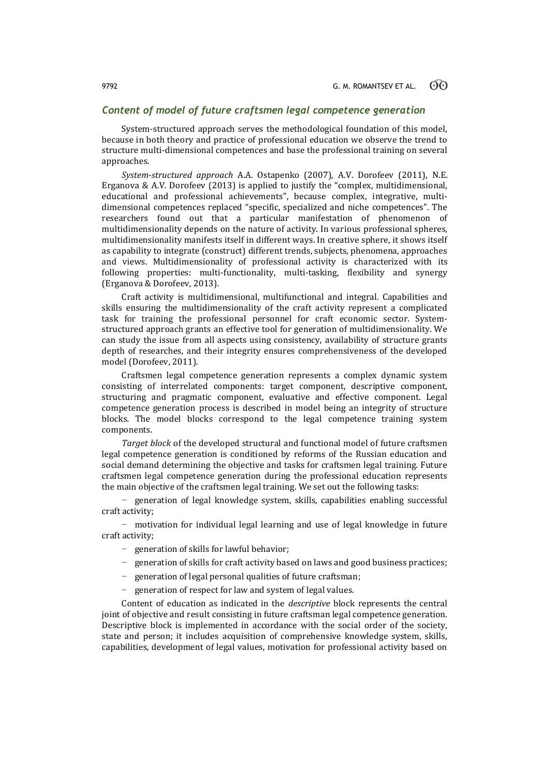## *Content of model of future craftsmen legal competence generation*

System-structured approach serves the methodological foundation of this model, because in both theory and practice of professional education we observe the trend to structure multi-dimensional competences and base the professional training on several approaches.

*System-structured approach* А.А. Ostapenko (2007), A.V. Dorofeev (2011), N.E. Erganova & A.V. Dorofeev (2013) is applied to justify the "complex, multidimensional, educational and professional achievements", because complex, integrative, multidimensional competences replaced "specific, specialized and niche competences". The researchers found out that a particular manifestation of phenomenon of multidimensionality depends on the nature of activity. In various professional spheres, multidimensionality manifests itself in different ways. In creative sphere, it shows itself as capability to integrate (construct) different trends, subjects, phenomena, approaches and views. Multidimensionality of professional activity is characterized with its following properties: multi-functionality, multi-tasking, flexibility and synergy (Erganova & Dorofeev, 2013).

Craft activity is multidimensional, multifunctional and integral. Capabilities and skills ensuring the multidimensionality of the craft activity represent a complicated task for training the professional personnel for craft economic sector. Systemstructured approach grants an effective tool for generation of multidimensionality. We can study the issue from all aspects using consistency, availability of structure grants depth of researches, and their integrity ensures comprehensiveness of the developed model (Dorofeev, 2011).

Craftsmen legal competence generation represents a complex dynamic system consisting of interrelated components: target component, descriptive component, structuring and pragmatic component, evaluative and effective component. Legal competence generation process is described in model being an integrity of structure blocks. The model blocks correspond to the legal competence training system components.

*Target block* of the developed structural and functional model of future craftsmen legal competence generation is conditioned by reforms of the Russian education and social demand determining the objective and tasks for craftsmen legal training. Future craftsmen legal competence generation during the professional education represents the main objective of the craftsmen legal training. We set out the following tasks:

− generation of legal knowledge system, skills, capabilities enabling successful craft activity;

− motivation for individual legal learning and use of legal knowledge in future craft activity;

- − generation of skills for lawful behavior;
- − generation of skills for craft activity based on laws and good business practices;
- generation of legal personal qualities of future craftsman;
- generation of respect for law and system of legal values.

Content of education as indicated in the *descriptive* block represents the central joint of objective and result consisting in future craftsman legal competence generation. Descriptive block is implemented in accordance with the social order of the society, state and person; it includes acquisition of comprehensive knowledge system, skills, capabilities, development of legal values, motivation for professional activity based on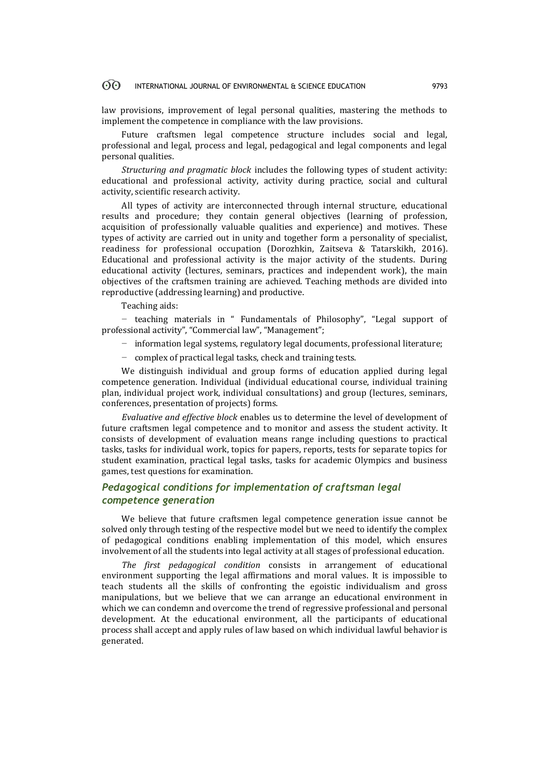law provisions, improvement of legal personal qualities, mastering the methods to implement the competence in compliance with the law provisions.

Future craftsmen legal competence structure includes social and legal, professional and legal, process and legal, pedagogical and legal components and legal personal qualities.

*Structuring and pragmatic block* includes the following types of student activity: educational and professional activity, activity during practice, social and cultural activity, scientific research activity.

All types of activity are interconnected through internal structure, educational results and procedure; they contain general objectives (learning of profession, acquisition of professionally valuable qualities and experience) and motives. These types of activity are carried out in unity and together form a personality of specialist, readiness for professional occupation (Dorozhkin, Zaitseva & Tatarskikh, 2016). Educational and professional activity is the major activity of the students. During educational activity (lectures, seminars, practices and independent work), the main objectives of the craftsmen training are achieved. Teaching methods are divided into reproductive (addressing learning) and productive.

Teaching aids:

− teaching materials in " Fundamentals of Philosophy", "Legal support of professional activity", "Commercial law", "Management";

- − information legal systems, regulatory legal documents, professional literature;
- − complex of practical legal tasks, check and training tests.

We distinguish individual and group forms of education applied during legal competence generation. Individual (individual educational course, individual training plan, individual project work, individual consultations) and group (lectures, seminars, conferences, presentation of projects) forms.

*Evaluative and effective block* enables us to determine the level of development of future craftsmen legal competence and to monitor and assess the student activity. It consists of development of evaluation means range including questions to practical tasks, tasks for individual work, topics for papers, reports, tests for separate topics for student examination, practical legal tasks, tasks for academic Olympics and business games, test questions for examination.

## *Pedagogical conditions for implementation of craftsman legal competence generation*

We believe that future craftsmen legal competence generation issue cannot be solved only through testing of the respective model but we need to identify the complex of pedagogical conditions enabling implementation of this model, which ensures involvement of all the students into legal activity at all stages of professional education.

*The first pedagogical condition* consists in arrangement of educational environment supporting the legal affirmations and moral values. It is impossible to teach students all the skills of confronting the egoistic individualism and gross manipulations, but we believe that we can arrange an educational environment in which we can condemn and overcome the trend of regressive professional and personal development. At the educational environment, all the participants of educational process shall accept and apply rules of law based on which individual lawful behavior is generated.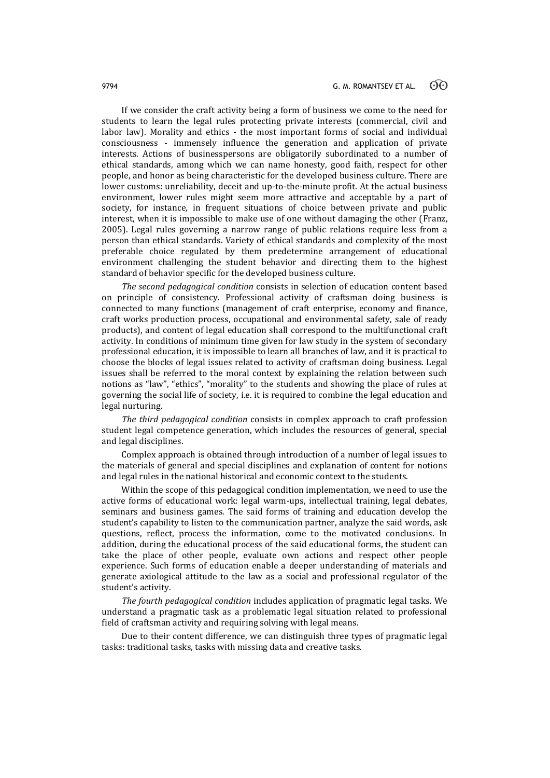If we consider the craft activity being a form of business we come to the need for students to learn the legal rules protecting private interests (commercial, civil and labor law). Morality and ethics - the most important forms of social and individual consciousness - immensely influence the generation and application of private interests. Actions of businesspersons are obligatorily subordinated to a number of ethical standards, among which we can name honesty, good faith, respect for other people, and honor as being characteristic for the developed business culture. There are lower customs: unreliability, deceit and up-to-the-minute profit. At the actual business environment, lower rules might seem more attractive and acceptable by a part of society, for instance, in frequent situations of choice between private and public interest, when it is impossible to make use of one without damaging the other (Franz, 2005). Legal rules governing a narrow range of public relations require less from a person than ethical standards. Variety of ethical standards and complexity of the most preferable choice regulated by them predetermine arrangement of educational environment challenging the student behavior and directing them to the highest standard of behavior specific for the developed business culture.

*The second pedagogical condition* consists in selection of education content based on principle of consistency. Professional activity of craftsman doing business is connected to many functions (management of craft enterprise, economy and finance, craft works production process, occupational and environmental safety, sale of ready products), and content of legal education shall correspond to the multifunctional craft activity. In conditions of minimum time given for law study in the system of secondary professional education, it is impossible to learn all branches of law, and it is practical to choose the blocks of legal issues related to activity of craftsman doing business. Legal issues shall be referred to the moral context by explaining the relation between such notions as "law", "ethics", "morality" to the students and showing the place of rules at governing the social life of society, i.e. it is required to combine the legal education and legal nurturing.

*The third pedagogical condition* consists in complex approach to craft profession student legal competence generation, which includes the resources of general, special and legal disciplines.

Complex approach is obtained through introduction of a number of legal issues to the materials of general and special disciplines and explanation of content for notions and legal rules in the national historical and economic context to the students.

Within the scope of this pedagogical condition implementation, we need to use the active forms of educational work: legal warm-ups, intellectual training, legal debates, seminars and business games. The said forms of training and education develop the student's capability to listen to the communication partner, analyze the said words, ask questions, reflect, process the information, come to the motivated conclusions. In addition, during the educational process of the said educational forms, the student can take the place of other people, evaluate own actions and respect other people experience. Such forms of education enable a deeper understanding of materials and generate axiological attitude to the law as a social and professional regulator of the student's activity.

*The fourth pedagogical condition* includes application of pragmatic legal tasks. We understand a pragmatic task as a problematic legal situation related to professional field of craftsman activity and requiring solving with legal means.

Due to their content difference, we can distinguish three types of pragmatic legal tasks: traditional tasks, tasks with missing data and creative tasks.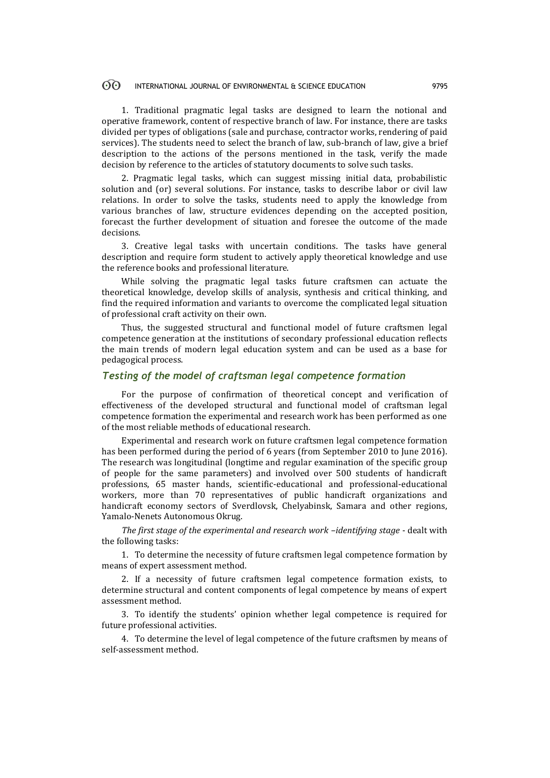1. Traditional pragmatic legal tasks are designed to learn the notional and operative framework, content of respective branch of law. For instance, there are tasks divided per types of obligations (sale and purchase, contractor works, rendering of paid services). The students need to select the branch of law, sub-branch of law, give a brief description to the actions of the persons mentioned in the task, verify the made decision by reference to the articles of statutory documents to solve such tasks.

2. Pragmatic legal tasks, which can suggest missing initial data, probabilistic solution and (or) several solutions. For instance, tasks to describe labor or civil law relations. In order to solve the tasks, students need to apply the knowledge from various branches of law, structure evidences depending on the accepted position, forecast the further development of situation and foresee the outcome of the made decisions.

3. Creative legal tasks with uncertain conditions. The tasks have general description and require form student to actively apply theoretical knowledge and use the reference books and professional literature.

While solving the pragmatic legal tasks future craftsmen can actuate the theoretical knowledge, develop skills of analysis, synthesis and critical thinking, and find the required information and variants to overcome the complicated legal situation of professional craft activity on their own.

Thus, the suggested structural and functional model of future craftsmen legal competence generation at the institutions of secondary professional education reflects the main trends of modern legal education system and can be used as a base for pedagogical process.

## *Testing of the model of craftsman legal competence formation*

For the purpose of confirmation of theoretical concept and verification of effectiveness of the developed structural and functional model of craftsman legal competence formation the experimental and research work has been performed as one of the most reliable methods of educational research.

Experimental and research work on future craftsmen legal competence formation has been performed during the period of 6 years (from September 2010 to June 2016). The research was longitudinal (longtime and regular examination of the specific group of people for the same parameters) and involved over 500 students of handicraft professions, 65 master hands, scientific-educational and professional-educational workers, more than 70 representatives of public handicraft organizations and handicraft economy sectors of Sverdlovsk, Chelyabinsk, Samara and other regions, Yamalo-Nenets Autonomous Okrug.

*The first stage of the experimental and research work –identifying stage* - dealt with the following tasks:

1. To determine the necessity of future craftsmen legal competence formation by means of expert assessment method.

2. If a necessity of future craftsmen legal competence formation exists, to determine structural and content components of legal competence by means of expert assessment method.

3. To identify the students' opinion whether legal competence is required for future professional activities.

4. To determine the level of legal competence of the future craftsmen by means of self-assessment method.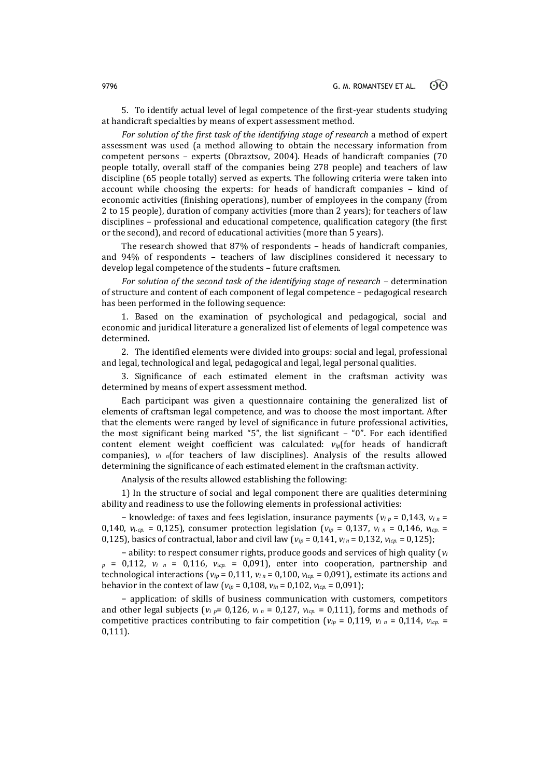5. To identify actual level of legal competence of the first-year students studying at handicraft specialties by means of expert assessment method.

*For solution of the first task of the identifying stage of research* a method of expert assessment was used (a method allowing to obtain the necessary information from competent persons – experts (Obraztsov, 2004). Heads of handicraft companies (70 people totally, overall staff of the companies being 278 people) and teachers of law discipline (65 people totally) served as experts. The following criteria were taken into account while choosing the experts: for heads of handicraft companies – kind of economic activities (finishing operations), number of employees in the company (from 2 to 15 people), duration of company activities (more than 2 years); for teachers of law disciplines – professional and educational competence, qualification category (the first or the second), and record of educational activities (more than 5 years).

The research showed that 87% of respondents – heads of handicraft companies, and 94% of respondents – teachers of law disciplines considered it necessary to develop legal competence of the students – future craftsmen.

*For solution of the second task of the identifying stage of research* – determination of structure and content of each component of legal competence – pedagogical research has been performed in the following sequence:

1. Based on the examination of psychological and pedagogical, social and economic and juridical literature a generalized list of elements of legal competence was determined.

2. The identified elements were divided into groups: social and legal, professional and legal, technological and legal, pedagogical and legal, legal personal qualities.

3. Significance of each estimated element in the craftsman activity was determined by means of expert assessment method.

Each participant was given a questionnaire containing the generalized list of elements of craftsman legal competence, and was to choose the most important. After that the elements were ranged by level of significance in future professional activities, the most significant being marked "5", the list significant – "0". For each identified content element weight coefficient was calculated: *viр*(for heads of handicraft companies),  $v_i$   $n$  (for teachers of law disciplines). Analysis of the results allowed determining the significance of each estimated element in the craftsman activity.

Analysis of the results allowed establishing the following:

1) In the structure of social and legal component there are qualities determining ability and readiness to use the following elements in professional activities:

− knowledge: of taxes and fees legislation, insurance payments (*vi <sup>р</sup>* = 0,143, *vi <sup>п</sup>* = 0,140,  $v_i$ <sub>*i.cp.* = 0,125), consumer protection legislation ( $v_i$ *p* = 0,137,  $v_i$ <sub>*n*</sub> = 0,146,  $v_i$ <sub>*icp.* =</sub></sub> 0,125), basics of contractual, labor and civil law ( $v_{ip}$  = 0,141,  $v_{in}$  = 0,132,  $v_{icp}$  = 0,125);

− ability: to respect consumer rights, produce goods and services of high quality (*v<sup>i</sup> <sup>р</sup>* = 0,112, *vi <sup>п</sup>* = 0,116, *v*i*ср.* = 0,091), enter into cooperation, partnership and technological interactions ( $v_{ip}$  = 0,111,  $v_{in}$  = 0,100,  $v_{icp}$  = 0,091), estimate its actions and behavior in the context of law ( $v_{ip}$  = 0,108,  $v_{in}$  = 0,102,  $v_{icp}$  = 0,091);

− application: of skills of business communication with customers, competitors and other legal subjects ( $v_i$   $p = 0,126$ ,  $v_i$   $n = 0,127$ ,  $v_{icp.} = 0,111$ ), forms and methods of competitive practices contributing to fair competition ( $v_{ip}$  = 0,119,  $v_i$ <sub>*n*</sub> = 0,114,  $v_{icp}$  = 0,111).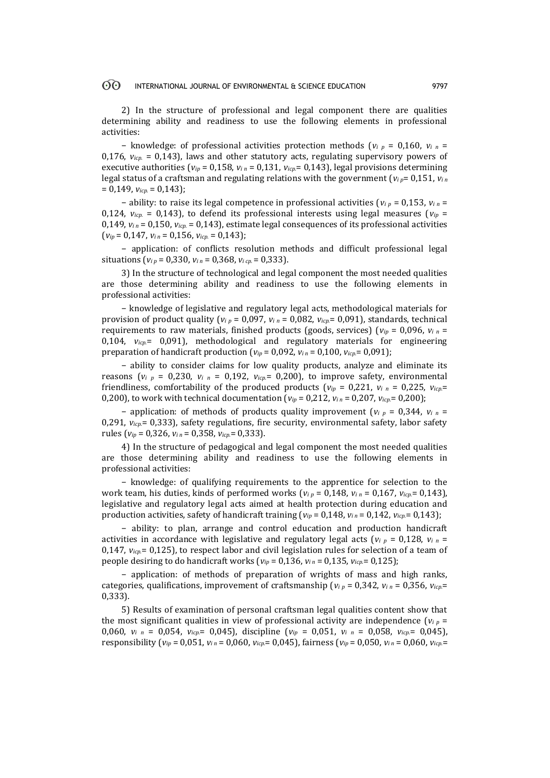2) In the structure of professional and legal component there are qualities determining ability and readiness to use the following elements in professional activities:

− knowledge: of professional activities protection methods (*vi <sup>р</sup>* = 0,160, *vi <sup>п</sup>* = 0,176,  $v_{icp} = 0.143$ ), laws and other statutory acts, regulating supervisory powers of executive authorities ( $v_{ip}$  = 0,158,  $v_{in}$  = 0,131,  $v_{icp}$  = 0,143), legal provisions determining legal status of a craftsman and regulating relations with the government ( $v_i$ <sub>*p*</sub>= 0,151,  $v_i$ <sub>*n*</sub> = 0,149, *viср.* = 0,143);

− ability: to raise its legal competence in professional activities (*vi <sup>р</sup>* = 0,153, *vi <sup>п</sup>* = 0,124,  $v_{icp}$  = 0,143), to defend its professional interests using legal measures ( $v_{ip}$  = 0,149,  $v_{in}$  = 0,150,  $v_{icp}$ . = 0,143), estimate legal consequences of its professional activities  $(v_{ip} = 0.147, v_{in} = 0.156, v_{icp} = 0.143$ ;

− application: of conflicts resolution methods and difficult professional legal situations ( $v_i$ <sub>*p*</sub> = 0,330,  $v_i$ <sub>*n*</sub> = 0,368,  $v_i$ <sub>*cp*</sub> = 0,333).

3) In the structure of technological and legal component the most needed qualities are those determining ability and readiness to use the following elements in professional activities:

− knowledge of legislative and regulatory legal acts, methodological materials for provision of product quality ( $v_i$ <sub>*p*</sub> = 0,097,  $v_i$ <sub>*n*</sub> = 0,082,  $v_{icp}$  = 0,091), standards, technical requirements to raw materials, finished products (goods, services) (*vi<sup>р</sup>* = 0,096, *vi <sup>п</sup>* = 0,104, *viср.*= 0,091), methodological and regulatory materials for engineering preparation of handicraft production ( $v_{ip} = 0.092$ ,  $v_{in} = 0.100$ ,  $v_{icp} = 0.091$ );

− ability to consider claims for low quality products, analyze and eliminate its reasons ( $v_i$   $_p$  = 0,230,  $v_i$   $_n$  = 0,192,  $v_{icp}$  = 0,200), to improve safety, environmental friendliness, comfortability of the produced products ( $v_{ip}$  = 0,221,  $v_i$  *n* = 0,225,  $v_{icp}$ = 0,200), to work with technical documentation ( $v_{ip}$  = 0,212,  $v_{in}$  = 0,207,  $v_{icp}$  = 0,200);

− application: of methods of products quality improvement (*vi <sup>р</sup>* = 0,344, *vi <sup>п</sup>* = 0,291,  $v_{icp}$  = 0,333), safety regulations, fire security, environmental safety, labor safety rules (*vi<sup>р</sup>* = 0,326, *vi <sup>п</sup>* = 0,358, *viср.*= 0,333).

4) In the structure of pedagogical and legal component the most needed qualities are those determining ability and readiness to use the following elements in professional activities:

− knowledge: of qualifying requirements to the apprentice for selection to the work team, his duties, kinds of performed works ( $v_i$ <sub>*p*</sub> = 0,148,  $v_i$ <sub>*n*</sub> = 0,167,  $v_{icp}$ = 0,143), legislative and regulatory legal acts aimed at health protection during education and production activities, safety of handicraft training ( $v_{ip}$  = 0,148,  $v_{in}$  = 0,142,  $v_{icp}$  = 0,143);

− ability: to plan, arrange and control education and production handicraft activities in accordance with legislative and regulatory legal acts ( $v_i$ <sub>*p*</sub> = 0,128,  $v_i$ <sub>*n*</sub> = 0,147,  $v_{icp}$  = 0,125), to respect labor and civil legislation rules for selection of a team of people desiring to do handicraft works ( $v_{ip}$  = 0,136,  $v_{in}$  = 0,135,  $v_{icp}$  = 0,125);

− application: of methods of preparation of wrights of mass and high ranks, categories, qualifications, improvement of craftsmanship ( $v_i$ <sub>*p*</sub> = 0,342,  $v_i$ <sub>*n*</sub> = 0,356,  $v_i$ <sub>*cp*</sub> = 0,333).

5) Results of examination of personal craftsman legal qualities content show that the most significant qualities in view of professional activity are independence  $(v_i)_p =$ 0,060,  $v_i$   $n = 0.054$ ,  $v_{icp} = 0.045$ ), discipline  $(v_{ip} = 0.051$ ,  $v_i$   $n = 0.058$ ,  $v_{icp} = 0.045$ ), responsibility ( $v_{ip}$  = 0,051,  $v_{in}$  = 0,060,  $v_{icp}$  = 0,045), fairness ( $v_{ip}$  = 0,050,  $v_{in}$  = 0,060,  $v_{icp}$  =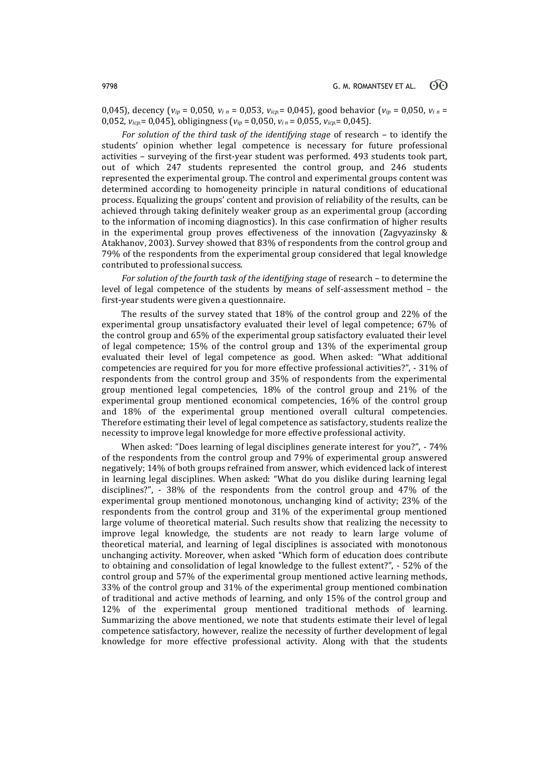0,045), decency ( $v_{ip}$  = 0,050,  $v_{i}$  *n* = 0,053,  $v_{icp}$  = 0,045), good behavior ( $v_{ip}$  = 0,050,  $v_{i}$  *n* = 0,052, *viср.*= 0,045), obligingness (*vi<sup>р</sup>* = 0,050, *vi <sup>п</sup>* = 0,055, *viср.*= 0,045).

*For solution of the third task of the identifying stage* of research – to identify the students' opinion whether legal competence is necessary for future professional activities – surveying of the first-year student was performed. 493 students took part, out of which 247 students represented the control group, and 246 students represented the experimental group. The control and experimental groups content was determined according to homogeneity principle in natural conditions of educational process. Equalizing the groups' content and provision of reliability of the results, can be achieved through taking definitely weaker group as an experimental group (according to the information of incoming diagnostics). In this case confirmation of higher results in the experimental group proves effectiveness of the innovation (Zagvyazinsky & Atakhanov, 2003). Survey showed that 83% of respondents from the control group and 79% of the respondents from the experimental group considered that legal knowledge contributed to professional success.

*For solution of the fourth task of the identifying stage* of research – to determine the level of legal competence of the students by means of self-assessment method – the first-year students were given a questionnaire.

The results of the survey stated that 18% of the control group and 22% of the experimental group unsatisfactory evaluated their level of legal competence; 67% of the control group and 65% of the experimental group satisfactory evaluated their level of legal competence; 15% of the control group and 13% of the experimental group evaluated their level of legal competence as good. When asked: "What additional competencies are required for you for more effective professional activities?", - 31% of respondents from the control group and 35% of respondents from the experimental group mentioned legal competencies, 18% of the control group and 21% of the experimental group mentioned economical competencies, 16% of the control group and 18% of the experimental group mentioned overall cultural competencies. Therefore estimating their level of legal competence as satisfactory, students realize the necessity to improve legal knowledge for more effective professional activity.

When asked: "Does learning of legal disciplines generate interest for you?", - 74% of the respondents from the control group and 79% of experimental group answered negatively; 14% of both groups refrained from answer, which evidenced lack of interest in learning legal disciplines. When asked: "What do you dislike during learning legal disciplines?", - 38% of the respondents from the control group and 47% of the experimental group mentioned monotonous, unchanging kind of activity; 23% of the respondents from the control group and 31% of the experimental group mentioned large volume of theoretical material. Such results show that realizing the necessity to improve legal knowledge, the students are not ready to learn large volume of theoretical material, and learning of legal disciplines is associated with monotonous unchanging activity. Moreover, when asked "Which form of education does contribute to obtaining and consolidation of legal knowledge to the fullest extent?", - 52% of the control group and 57% of the experimental group mentioned active learning methods, 33% of the control group and 31% of the experimental group mentioned combination of traditional and active methods of learning, and only 15% of the control group and 12% of the experimental group mentioned traditional methods of learning. Summarizing the above mentioned, we note that students estimate their level of legal competence satisfactory, however, realize the necessity of further development of legal knowledge for more effective professional activity. Along with that the students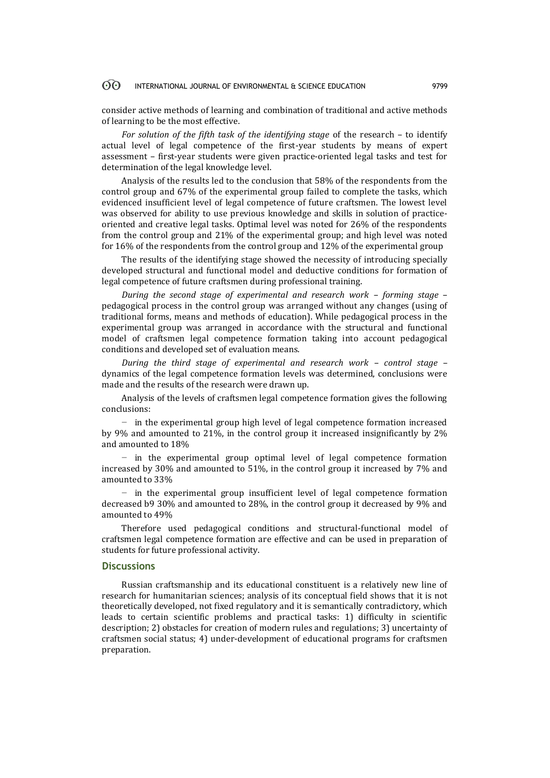consider active methods of learning and combination of traditional and active methods of learning to be the most effective.

*For solution of the fifth task of the identifying stage* of the research – to identify actual level of legal competence of the first-year students by means of expert assessment – first-year students were given practice-oriented legal tasks and test for determination of the legal knowledge level.

Analysis of the results led to the conclusion that 58% of the respondents from the control group and 67% of the experimental group failed to complete the tasks, which evidenced insufficient level of legal competence of future craftsmen. The lowest level was observed for ability to use previous knowledge and skills in solution of practiceoriented and creative legal tasks. Optimal level was noted for 26% of the respondents from the control group and 21% of the experimental group; and high level was noted for 16% of the respondents from the control group and 12% of the experimental group

The results of the identifying stage showed the necessity of introducing specially developed structural and functional model and deductive conditions for formation of legal competence of future craftsmen during professional training.

*During the second stage of experimental and research work – forming stage* – pedagogical process in the control group was arranged without any changes (using of traditional forms, means and methods of education). While pedagogical process in the experimental group was arranged in accordance with the structural and functional model of craftsmen legal competence formation taking into account pedagogical conditions and developed set of evaluation means.

*During the third stage of experimental and research work – control stage –* dynamics of the legal competence formation levels was determined, conclusions were made and the results of the research were drawn up.

Analysis of the levels of craftsmen legal competence formation gives the following conclusions:

− in the experimental group high level of legal competence formation increased by 9% and amounted to 21%, in the control group it increased insignificantly by 2% and amounted to 18%

− in the experimental group optimal level of legal competence formation increased by 30% and amounted to 51%, in the control group it increased by 7% and amounted to 33%

− in the experimental group insufficient level of legal competence formation decreased b9 30% and amounted to 28%, in the control group it decreased by 9% and amounted to 49%

Therefore used pedagogical conditions and structural-functional model of craftsmen legal competence formation are effective and can be used in preparation of students for future professional activity.

### **Discussions**

Russian craftsmanship and its educational constituent is a relatively new line of research for humanitarian sciences; analysis of its conceptual field shows that it is not theoretically developed, not fixed regulatory and it is semantically contradictory, which leads to certain scientific problems and practical tasks: 1) difficulty in scientific description; 2) obstacles for creation of modern rules and regulations; 3) uncertainty of craftsmen social status; 4) under-development of educational programs for craftsmen preparation.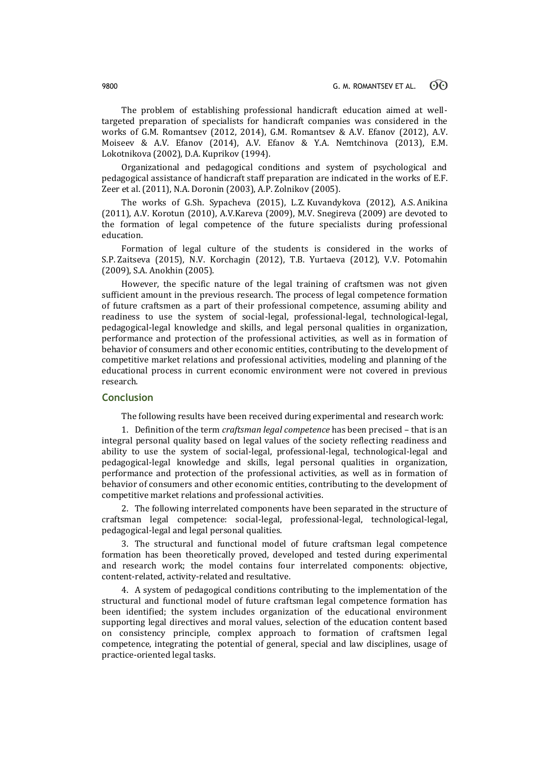The problem of establishing professional handicraft education aimed at welltargeted preparation of specialists for handicraft companies was considered in the works of G.M. Romantsev (2012, 2014), G.M. Romantsev & A.V. Efanov (2012), А.V. Moiseev & A.V. Efanov (2014), A.V. Efanov & Y.A. Nemtchinova (2013), E.M. Lokotnikova (2002), D.A. Kuprikov (1994).

Organizational and pedagogical conditions and system of psychological and pedagogical assistance of handicraft staff preparation are indicated in the works of E.F. Zeer et al. (2011), N.A. Doronin (2003), A.P. Zolnikov (2005).

The works of G.Sh. Sypacheva (2015), L.Z. Kuvandykova (2012), A.S. Anikina (2011), A.V. Korotun (2010), A.V.Kareva (2009), M.V. Snegireva (2009) are devoted to the formation of legal competence of the future specialists during professional education.

Formation of legal culture of the students is considered in the works of S.P. Zaitseva (2015), N.V. Korchagin (2012), T.B. Yurtaeva (2012), V.V. Potomahin (2009), S.A. Anokhin (2005).

However, the specific nature of the legal training of craftsmen was not given sufficient amount in the previous research. The process of legal competence formation of future craftsmen as a part of their professional competence, assuming ability and readiness to use the system of social-legal, professional-legal, technological-legal, pedagogical-legal knowledge and skills, and legal personal qualities in organization, performance and protection of the professional activities, as well as in formation of behavior of consumers and other economic entities, contributing to the development of competitive market relations and professional activities, modeling and planning of the educational process in current economic environment were not covered in previous research.

## **Conclusion**

The following results have been received during experimental and research work:

1. Definition of the term *craftsman legal competence* has been precised – that is an integral personal quality based on legal values of the society reflecting readiness and ability to use the system of social-legal, professional-legal, technological-legal and pedagogical-legal knowledge and skills, legal personal qualities in organization, performance and protection of the professional activities, as well as in formation of behavior of consumers and other economic entities, contributing to the development of competitive market relations and professional activities.

2. The following interrelated components have been separated in the structure of craftsman legal competence: social-legal, professional-legal, technological-legal, pedagogical-legal and legal personal qualities.

3. The structural and functional model of future craftsman legal competence formation has been theoretically proved, developed and tested during experimental and research work; the model contains four interrelated components: objective, content-related, activity-related and resultative.

4. A system of pedagogical conditions contributing to the implementation of the structural and functional model of future craftsman legal competence formation has been identified; the system includes organization of the educational environment supporting legal directives and moral values, selection of the education content based on consistency principle, complex approach to formation of craftsmen legal competence, integrating the potential of general, special and law disciplines, usage of practice-oriented legal tasks.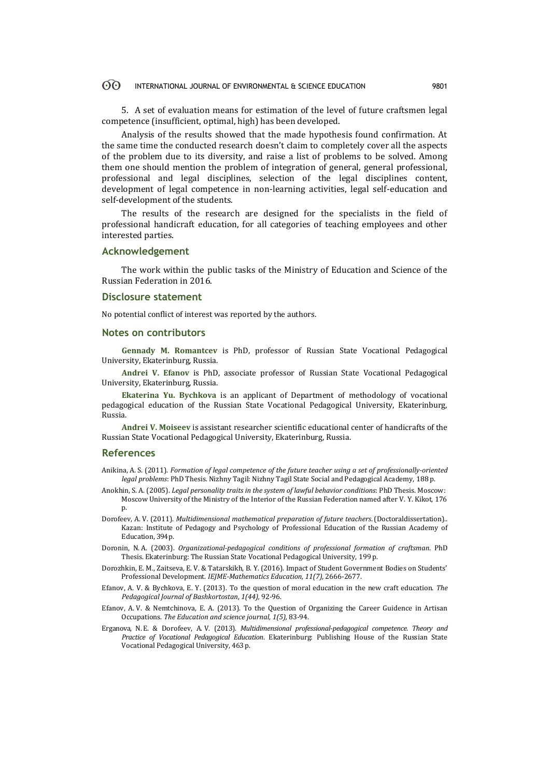5. A set of evaluation means for estimation of the level of future craftsmen legal competence (insufficient, optimal, high) has been developed.

Analysis of the results showed that the made hypothesis found confirmation. At the same time the conducted research doesn't claim to completely cover all the aspects of the problem due to its diversity, and raise a list of problems to be solved. Among them one should mention the problem of integration of general, general professional, professional and legal disciplines, selection of the legal disciplines content, development of legal competence in non-learning activities, legal self-education and self-development of the students.

The results of the research are designed for the specialists in the field of professional handicraft education, for all categories of teaching employees and other interested parties.

### **Acknowledgement**

The work within the public tasks of the Ministry of Education and Science of the Russian Federation in 2016.

## **Disclosure statement**

No potential conflict of interest was reported by the authors.

#### **Notes on contributors**

**Gennady M. Romantcev** is PhD, professor of Russian State Vocational Pedagogical University, Ekaterinburg, Russia.

**Andrei V. Efanov** is PhD, associate professor of Russian State Vocational Pedagogical University, Ekaterinburg, Russia.

**Ekaterina Yu. Bychkova** is an applicant of Department of methodology of vocational pedagogical education of the Russian State Vocational Pedagogical University, Ekaterinburg, Russia.

**Andrei V. Moiseev** is assistant researcher scientific educational center of handicrafts of the Russian State Vocational Pedagogical University, Ekaterinburg, Russia.

### **References**

- Anikina, A. S. (2011). *Formation of legal competence of the future teacher using a set of professionally-oriented legal problems*: PhD Thesis. Nizhny Tagil: Nizhny Tagil State Social and Pedagogical Academy, 188 p.
- Anokhin, S. A. (2005). *Legal personality traits in the system of lawful behavior conditions*: PhD Thesis. Moscow: Moscow University of the Ministry of the Interior of the Russian Federation named after V. Y. Kikot, 176 p.
- Dorofeev, A. V. (2011). *Multidimensional mathematical preparation of future teachers*. (Doctoraldissertation).. Kazan: Institute of Pedagogy and Psychology of Professional Education of the Russian Academy of Education, 394p.
- Doronin, N. A. (2003). *Organizational-pedagogical conditions of professional formation of craftsman*. PhD Thesis. Ekaterinburg: The Russian State Vocational Pedagogical University, 199 p.
- Dorozhkin, E. M., Zaitseva, E. V. & Tatarskikh, B. Y. (2016). Impact of Student Government Bodies on Students' Professional Development. *IEJME-Mathematics Education, 11(7),* 2666-2677.
- Efanov, A. V. & Bychkova, E. Y. (2013). To the question of moral education in the new craft education. *The Pedagogical Journal of Bashkortostan*, *1(44),* 92-96.
- Efanov, A. V. & Nemtchinova, E. A. (2013). To the Question of Organizing the Career Guidence in Artisan Occupations. *The Education and science journal, 1(5),* 83-94.
- Erganova, N. E. & Dorofeev, A. V. (2013). *Multidimensional professional-pedagogical competence. Theory and Practice of Vocational Pedagogical Education*. Ekaterinburg: Publishing House of the Russian State Vocational Pedagogical University, 463 p.